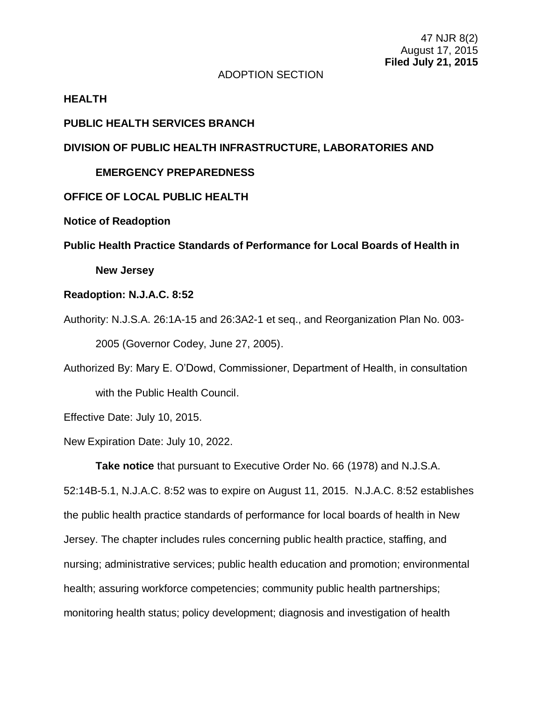## ADOPTION SECTION

#### **HEALTH**

### **PUBLIC HEALTH SERVICES BRANCH**

## **DIVISION OF PUBLIC HEALTH INFRASTRUCTURE, LABORATORIES AND**

#### **EMERGENCY PREPAREDNESS**

#### **OFFICE OF LOCAL PUBLIC HEALTH**

#### **Notice of Readoption**

**Public Health Practice Standards of Performance for Local Boards of Health in** 

**New Jersey**

# **Readoption: N.J.A.C. 8:52**

Authority: N.J.S.A. 26:1A-15 and 26:3A2-1 et seq., and Reorganization Plan No. 003- 2005 (Governor Codey, June 27, 2005).

Authorized By: Mary E. O'Dowd, Commissioner, Department of Health, in consultation with the Public Health Council.

Effective Date: July 10, 2015.

New Expiration Date: July 10, 2022.

**Take notice** that pursuant to Executive Order No. 66 (1978) and N.J.S.A. 52:14B-5.1, N.J.A.C. 8:52 was to expire on August 11, 2015. N.J.A.C. 8:52 establishes the public health practice standards of performance for local boards of health in New Jersey. The chapter includes rules concerning public health practice, staffing, and nursing; administrative services; public health education and promotion; environmental health; assuring workforce competencies; community public health partnerships; monitoring health status; policy development; diagnosis and investigation of health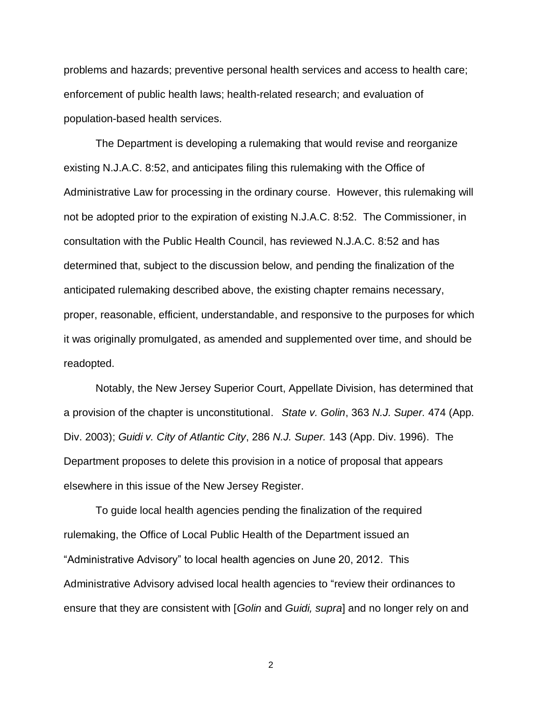problems and hazards; preventive personal health services and access to health care; enforcement of public health laws; health-related research; and evaluation of population-based health services.

The Department is developing a rulemaking that would revise and reorganize existing N.J.A.C. 8:52, and anticipates filing this rulemaking with the Office of Administrative Law for processing in the ordinary course. However, this rulemaking will not be adopted prior to the expiration of existing N.J.A.C. 8:52. The Commissioner, in consultation with the Public Health Council, has reviewed N.J.A.C. 8:52 and has determined that, subject to the discussion below, and pending the finalization of the anticipated rulemaking described above, the existing chapter remains necessary, proper, reasonable, efficient, understandable, and responsive to the purposes for which it was originally promulgated, as amended and supplemented over time, and should be readopted.

Notably, the New Jersey Superior Court, Appellate Division, has determined that a provision of the chapter is unconstitutional. *State v. Golin*, 363 *N.J. Super.* 474 (App. Div. 2003); *Guidi v. City of Atlantic City*, 286 *N.J. Super.* 143 (App. Div. 1996). The Department proposes to delete this provision in a notice of proposal that appears elsewhere in this issue of the New Jersey Register.

To guide local health agencies pending the finalization of the required rulemaking, the Office of Local Public Health of the Department issued an "Administrative Advisory" to local health agencies on June 20, 2012. This Administrative Advisory advised local health agencies to "review their ordinances to ensure that they are consistent with [*Golin* and *Guidi, supra*] and no longer rely on and

2